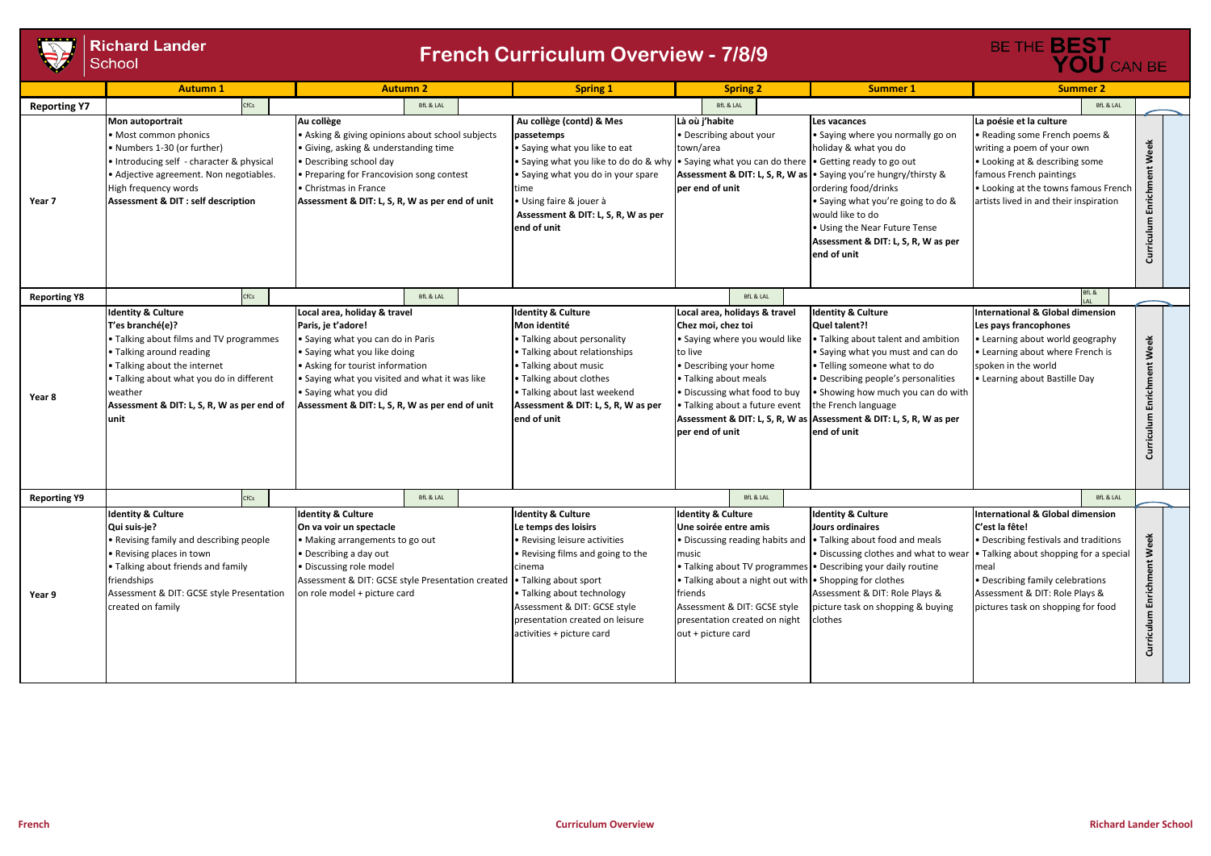

|                     | <b>Richard Lander</b><br>School                                                                                                                                                                                                                                       | <b>French Curriculum Overview - 7/8/9</b>                                                                                                                                                                                                                                                 | BE THE <b>BEST</b><br>YOU CAN BE                                                                                                                                                                                                                                               |                                                                                                                                                                                                                                                                                                                                  |                                                                                                                                                                                                                                                                                                                                                      |                                                                                                                                                                                                                                                            |                               |
|---------------------|-----------------------------------------------------------------------------------------------------------------------------------------------------------------------------------------------------------------------------------------------------------------------|-------------------------------------------------------------------------------------------------------------------------------------------------------------------------------------------------------------------------------------------------------------------------------------------|--------------------------------------------------------------------------------------------------------------------------------------------------------------------------------------------------------------------------------------------------------------------------------|----------------------------------------------------------------------------------------------------------------------------------------------------------------------------------------------------------------------------------------------------------------------------------------------------------------------------------|------------------------------------------------------------------------------------------------------------------------------------------------------------------------------------------------------------------------------------------------------------------------------------------------------------------------------------------------------|------------------------------------------------------------------------------------------------------------------------------------------------------------------------------------------------------------------------------------------------------------|-------------------------------|
|                     | <b>Autumn 1</b>                                                                                                                                                                                                                                                       | <b>Autumn 2</b>                                                                                                                                                                                                                                                                           | <b>Spring 1</b>                                                                                                                                                                                                                                                                | <b>Spring 2</b>                                                                                                                                                                                                                                                                                                                  | <b>Summer 1</b>                                                                                                                                                                                                                                                                                                                                      | <b>Summer 2</b>                                                                                                                                                                                                                                            |                               |
| <b>Reporting Y7</b> | CfCs                                                                                                                                                                                                                                                                  | <b>BfL &amp; LAL</b>                                                                                                                                                                                                                                                                      |                                                                                                                                                                                                                                                                                | <b>BfL &amp; LAL</b>                                                                                                                                                                                                                                                                                                             |                                                                                                                                                                                                                                                                                                                                                      | <b>BfL &amp; LAL</b>                                                                                                                                                                                                                                       |                               |
| Year 7              | Mon autoportrait<br>• Most common phonics<br>• Numbers 1-30 (or further)<br>• Introducing self - character & physical<br>• Adjective agreement. Non negotiables.<br>High frequency words<br><b>Assessment &amp; DIT : self description</b>                            | Au collège<br>• Asking & giving opinions about school subjects<br>• Giving, asking & understanding time<br>• Describing school day<br>• Preparing for Francovision song contest<br><b>•</b> Christmas in France<br>Assessment & DIT: L, S, R, W as per end of unit                        | Au collège (contd) & Mes<br>passetemps<br>• Saying what you like to eat<br>• Saying what you like to do do & why • Saying what you can do there<br>• Saying what you do in your spare<br>time<br>· Using faire & jouer à<br>Assessment & DIT: L, S, R, W as per<br>end of unit | Là où j'habite<br>• Describing about your<br>town/area<br>per end of unit                                                                                                                                                                                                                                                        | Les vacances<br>• Saying where you normally go on<br>holiday & what you do<br>• Getting ready to go out<br>Assessment & DIT: L, S, R, W as . Saying you're hungry/thirsty &<br>ordering food/drinks<br>• Saying what you're going to do &<br>would like to do<br>• Using the Near Future Tense<br>Assessment & DIT: L, S, R, W as per<br>end of unit | La poésie et la culture<br>• Reading some French poems &<br>writing a poem of your own<br>• Looking at & describing some<br>famous French paintings<br>. Looking at the towns famous French<br>artists lived in and their inspiration                      | Week<br>Curriculum Enrichment |
| <b>Reporting Y8</b> | CfCs                                                                                                                                                                                                                                                                  | <b>BfL &amp; LAL</b>                                                                                                                                                                                                                                                                      |                                                                                                                                                                                                                                                                                | BfL & LAL                                                                                                                                                                                                                                                                                                                        |                                                                                                                                                                                                                                                                                                                                                      | BfL &<br>$\overline{1 \Delta 1}$                                                                                                                                                                                                                           |                               |
| Year 8              | <b>Identity &amp; Culture</b><br>T'es branché(e)?<br>• Talking about films and TV programmes<br>• Talking around reading<br>• Talking about the internet<br>. Talking about what you do in different<br>weather<br>Assessment & DIT: L, S, R, W as per end of<br>unit | Local area, holiday & travel<br>Paris, je t'adore!<br>• Saying what you can do in Paris<br>• Saying what you like doing<br>• Asking for tourist information<br>• Saying what you visited and what it was like<br>• Saying what you did<br>Assessment & DIT: L, S, R, W as per end of unit | <b>Identity &amp; Culture</b><br>Mon identité<br>• Talking about personality<br>• Talking about relationships<br>• Talking about music<br>• Talking about clothes<br>• Talking about last weekend<br>Assessment & DIT: L, S, R, W as per<br>end of unit                        | Local area, holidays & travel<br>Chez moi, chez toi<br>• Saying where you would like<br>to live<br>• Describing your home<br>• Talking about meals<br>. Discussing what food to buy<br>• Talking about a future event<br>per end of unit                                                                                         | <b>Identity &amp; Culture</b><br>Quel talent?!<br>• Talking about talent and ambition<br>• Saying what you must and can do<br>• Telling someone what to do<br>• Describing people's personalities<br>• Showing how much you can do with<br>the French language<br>Assessment & DIT: L, S, R, W as Assessment & DIT: L, S, R, W as per<br>end of unit | International & Global dimension<br>Les pays francophones<br>• Learning about world geography<br>• Learning about where French is<br>spoken in the world<br>• Learning about Bastille Day                                                                  | Enrichment Week<br>Curriculum |
| <b>Reporting Y9</b> | CfCs                                                                                                                                                                                                                                                                  | <b>BfL &amp; LAL</b>                                                                                                                                                                                                                                                                      |                                                                                                                                                                                                                                                                                | BfL & LAL                                                                                                                                                                                                                                                                                                                        |                                                                                                                                                                                                                                                                                                                                                      | <b>BfL &amp; LAL</b>                                                                                                                                                                                                                                       |                               |
| Year 9              | <b>Identity &amp; Culture</b><br>Qui suis-je?<br>• Revising family and describing people<br>• Revising places in town<br>• Talking about friends and family<br>friendships<br>Assessment & DIT: GCSE style Presentation<br>created on family                          | <b>Identity &amp; Culture</b><br>On va voir un spectacle<br>• Making arrangements to go out<br>• Describing a day out<br>· Discussing role model<br>Assessment & DIT: GCSE style Presentation created • Talking about sport<br>on role model + picture card                               | <b>Identity &amp; Culture</b><br>Le temps des loisirs<br>• Revising leisure activities<br>• Revising films and going to the<br>cinema<br>• Talking about technology<br>Assessment & DIT: GCSE style<br>presentation created on leisure<br>activities + picture card            | <b>Identity &amp; Culture</b><br>Une soirée entre amis<br>• Discussing reading habits and<br>music<br>• Talking about TV programmes • Describing your daily routine<br>• Talking about a night out with • Shopping for clothes<br>friends<br>Assessment & DIT: GCSE style<br>presentation created on night<br>out + picture card | <b>Identity &amp; Culture</b><br>Jours ordinaires<br>. Talking about food and meals<br>· Discussing clothes and what to wea<br>Assessment & DIT: Role Plays &<br>picture task on shopping & buying<br>clothes                                                                                                                                        | International & Global dimension<br>C'est la fête!<br>• Describing festivals and traditions<br>• Talking about shopping for a special<br>Imeal<br>• Describing family celebrations<br>Assessment & DIT: Role Plays &<br>pictures task on shopping for food | Curriculum Enrichment Week    |